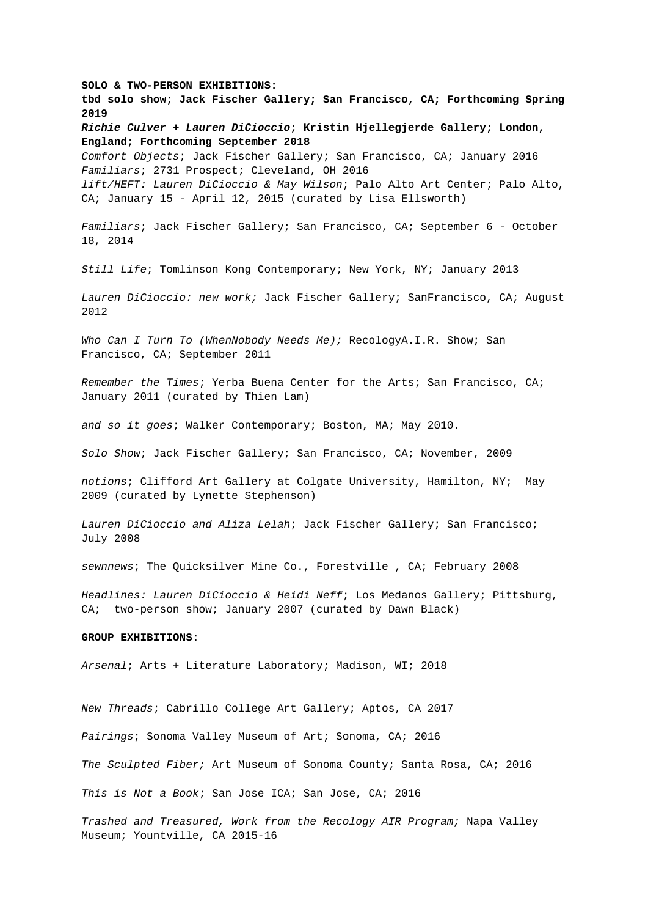**SOLO & TWO-PERSON EXHIBITIONS: tbd solo show; Jack Fischer Gallery; San Francisco, CA; Forthcoming Spring 2019 Richie Culver + Lauren DiCioccio; Kristin Hjellegjerde Gallery; London, England; Forthcoming September 2018** Comfort Objects; Jack Fischer Gallery; San Francisco, CA; January 2016 Familiars; 2731 Prospect; Cleveland, OH 2016 lift/HEFT: Lauren DiCioccio & May Wilson; Palo Alto Art Center; Palo Alto, CA; January 15 - April 12, 2015 (curated by Lisa Ellsworth) Familiars; Jack Fischer Gallery; San Francisco, CA; September 6 - October 18, 2014 Still Life; Tomlinson Kong Contemporary; New York, NY; January 2013 Lauren DiCioccio: new work; Jack Fischer Gallery; SanFrancisco, CA; August 2012 Who Can I Turn To (WhenNobody Needs Me); RecologyA.I.R. Show; San Francisco, CA; September 2011 Remember the Times; Yerba Buena Center for the Arts; San Francisco, CA; January 2011 (curated by Thien Lam) and so it goes; Walker Contemporary; Boston, MA; May 2010. Solo Show; Jack Fischer Gallery; San Francisco, CA; November, 2009 notions; Clifford Art Gallery at Colgate University, Hamilton, NY; May 2009 (curated by Lynette Stephenson) Lauren DiCioccio and Aliza Lelah; Jack Fischer Gallery; San Francisco; July 2008 sewnnews; The Quicksilver Mine Co., Forestville , CA; February 2008 Headlines: Lauren DiCioccio & Heidi Neff; Los Medanos Gallery; Pittsburg, CA; two-person show; January 2007 (curated by Dawn Black) **GROUP EXHIBITIONS:** Arsenal; Arts + Literature Laboratory; Madison, WI; 2018 New Threads; Cabrillo College Art Gallery; Aptos, CA 2017 Pairings; Sonoma Valley Museum of Art; Sonoma, CA; 2016 The Sculpted Fiber; Art Museum of Sonoma County; Santa Rosa, CA; 2016

This is Not a Book; San Jose ICA; San Jose, CA; 2016

Trashed and Treasured, Work from the Recology AIR Program; Napa Valley Museum; Yountville, CA 2015-16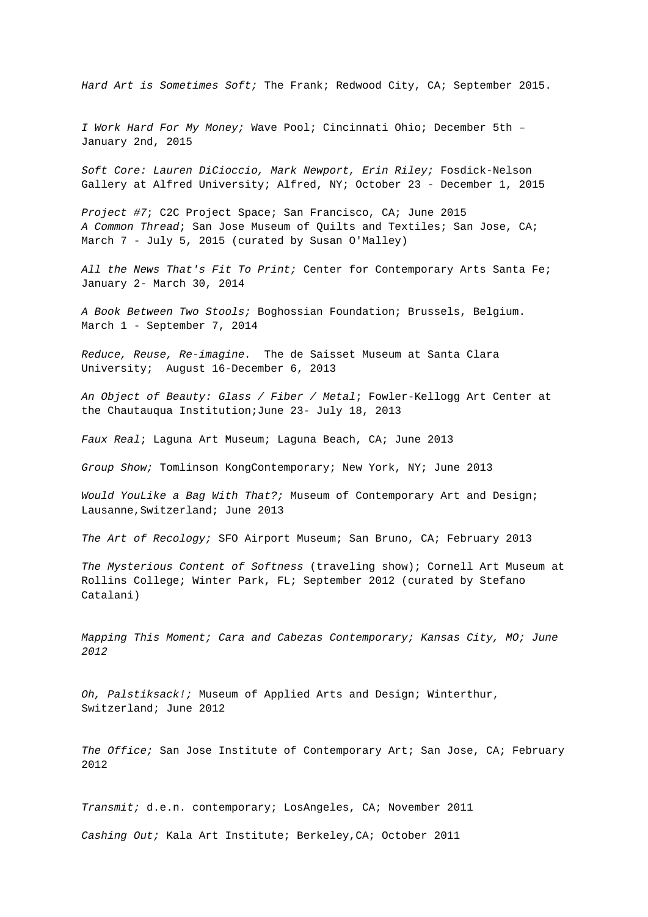Hard Art is Sometimes Soft; The Frank; Redwood City, CA; September 2015.

I Work Hard For My Money; Wave Pool; Cincinnati Ohio; December 5th – January 2nd, 2015

Soft Core: Lauren DiCioccio, Mark Newport, Erin Riley; Fosdick-Nelson Gallery at Alfred University; Alfred, NY; October 23 - December 1, 2015

Project #7; C2C Project Space; San Francisco, CA; June 2015 A Common Thread; San Jose Museum of Quilts and Textiles; San Jose, CA; March 7 - July 5, 2015 (curated by Susan O'Malley)

All the News That's Fit To Print; Center for Contemporary Arts Santa Fe; January 2- March 30, 2014

A Book Between Two Stools; Boghossian Foundation; Brussels, Belgium. March 1 - September 7, 2014

Reduce, Reuse, Re-imagine. The de Saisset Museum at Santa Clara University; August 16-December 6, 2013

An Object of Beauty: Glass / Fiber / Metal; Fowler-Kellogg Art Center at the Chautauqua Institution;June 23- July 18, 2013

Faux Real; Laguna Art Museum; Laguna Beach, CA; June 2013

Group Show; Tomlinson KongContemporary; New York, NY; June 2013

Would YouLike a Bag With That?; Museum of Contemporary Art and Design; Lausanne,Switzerland; June 2013

The Art of Recology; SFO Airport Museum; San Bruno, CA; February 2013

The Mysterious Content of Softness (traveling show); Cornell Art Museum at Rollins College; Winter Park, FL; September 2012 (curated by Stefano Catalani)

Mapping This Moment; Cara and Cabezas Contemporary; Kansas City, MO; June 2012

Oh, Palstiksack!; Museum of Applied Arts and Design; Winterthur, Switzerland; June 2012

The Office; San Jose Institute of Contemporary Art; San Jose, CA; February 2012

Transmit; d.e.n. contemporary; LosAngeles, CA; November 2011

Cashing Out; Kala Art Institute; Berkeley,CA; October 2011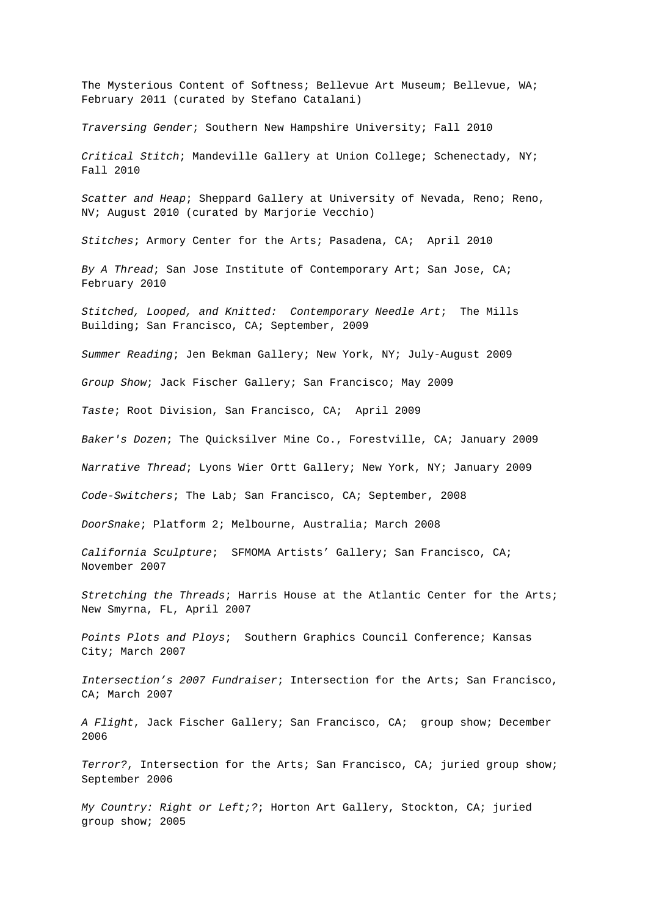The Mysterious Content of Softness; Bellevue Art Museum; Bellevue, WA; February 2011 (curated by Stefano Catalani)

Traversing Gender; Southern New Hampshire University; Fall 2010

Critical Stitch; Mandeville Gallery at Union College; Schenectady, NY; Fall 2010

Scatter and Heap; Sheppard Gallery at University of Nevada, Reno; Reno, NV; August 2010 (curated by Marjorie Vecchio)

Stitches; Armory Center for the Arts; Pasadena, CA; April 2010

By A Thread; San Jose Institute of Contemporary Art; San Jose, CA; February 2010

Stitched, Looped, and Knitted: Contemporary Needle Art; The Mills Building; San Francisco, CA; September, 2009

Summer Reading; Jen Bekman Gallery; New York, NY; July-August 2009

Group Show; Jack Fischer Gallery; San Francisco; May 2009

Taste; Root Division, San Francisco, CA; April 2009

Baker's Dozen; The Quicksilver Mine Co., Forestville, CA; January 2009

Narrative Thread; Lyons Wier Ortt Gallery; New York, NY; January 2009

Code-Switchers; The Lab; San Francisco, CA; September, 2008

DoorSnake; Platform 2; Melbourne, Australia; March 2008

California Sculpture; SFMOMA Artists' Gallery; San Francisco, CA; November 2007

Stretching the Threads; Harris House at the Atlantic Center for the Arts; New Smyrna, FL, April 2007

Points Plots and Ploys; Southern Graphics Council Conference; Kansas City; March 2007

Intersection's 2007 Fundraiser; Intersection for the Arts; San Francisco, CA; March 2007

A Flight, Jack Fischer Gallery; San Francisco, CA; group show; December 2006

Terror?, Intersection for the Arts; San Francisco, CA; juried group show; September 2006

My Country: Right or Left;?; Horton Art Gallery, Stockton, CA; juried group show; 2005